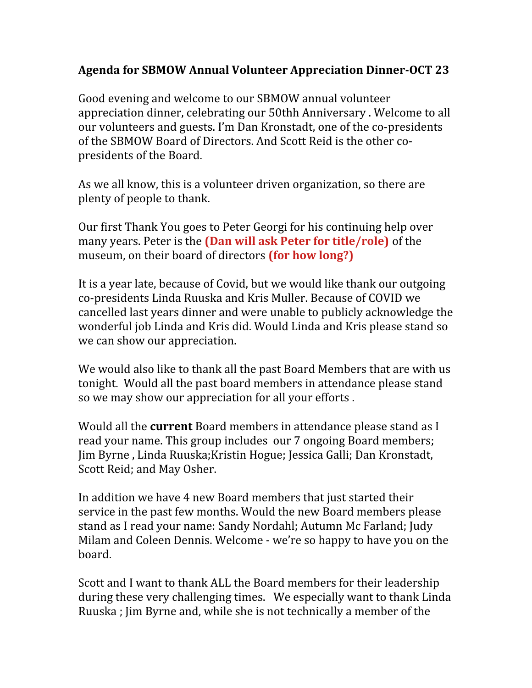## **Agenda for SBMOW Annual Volunteer Appreciation Dinner-OCT 23**

Good evening and welcome to our SBMOW annual volunteer appreciation dinner, celebrating our 50thh Anniversary . Welcome to all our volunteers and guests. I'm Dan Kronstadt, one of the co-presidents of the SBMOW Board of Directors. And Scott Reid is the other copresidents of the Board.

As we all know, this is a volunteer driven organization, so there are plenty of people to thank.

Our first Thank You goes to Peter Georgi for his continuing help over many years. Peter is the **(Dan will ask Peter for title/role)** of the museum, on their board of directors **(for how long?)**

It is a year late, because of Covid, but we would like thank our outgoing co-presidents Linda Ruuska and Kris Muller. Because of COVID we cancelled last years dinner and were unable to publicly acknowledge the wonderful job Linda and Kris did. Would Linda and Kris please stand so we can show our appreciation.

We would also like to thank all the past Board Members that are with us tonight. Would all the past board members in attendance please stand so we may show our appreciation for all your efforts .

Would all the **current** Board members in attendance please stand as I read your name. This group includes our 7 ongoing Board members; Jim Byrne , Linda Ruuska;Kristin Hogue; Jessica Galli; Dan Kronstadt, Scott Reid; and May Osher.

In addition we have 4 new Board members that just started their service in the past few months. Would the new Board members please stand as I read your name: Sandy Nordahl; Autumn Mc Farland; Judy Milam and Coleen Dennis. Welcome - we're so happy to have you on the board.

Scott and I want to thank ALL the Board members for their leadership during these very challenging times. We especially want to thank Linda Ruuska ; Jim Byrne and, while she is not technically a member of the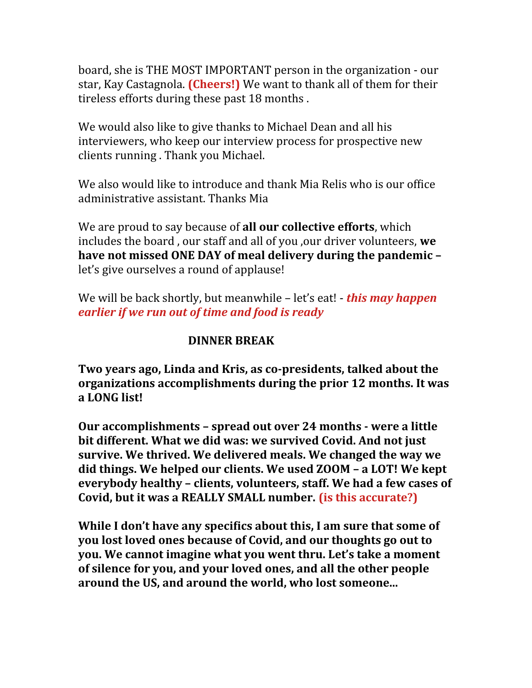board, she is THE MOST IMPORTANT person in the organization - our star, Kay Castagnola. **(Cheers!)** We want to thank all of them for their tireless efforts during these past 18 months .

We would also like to give thanks to Michael Dean and all his interviewers, who keep our interview process for prospective new clients running . Thank you Michael.

We also would like to introduce and thank Mia Relis who is our office administrative assistant. Thanks Mia

We are proud to say because of **all our collective efforts**, which includes the board , our staff and all of you ,our driver volunteers, **we have not missed ONE DAY of meal delivery during the pandemic –** let's give ourselves a round of applause!

We will be back shortly, but meanwhile – let's eat! - *this may happen earlier if we run out of time and food is ready*

## **DINNER BREAK**

**Two years ago, Linda and Kris, as co-presidents, talked about the organizations accomplishments during the prior 12 months. It was a LONG list!**

**Our accomplishments – spread out over 24 months - were a little bit different. What we did was: we survived Covid. And not just survive. We thrived. We delivered meals. We changed the way we did things. We helped our clients. We used ZOOM – a LOT! We kept everybody healthy – clients, volunteers, staff. We had a few cases of Covid, but it was a REALLY SMALL number. (is this accurate?)**

**While I don't have any specifics about this, I am sure that some of you lost loved ones because of Covid, and our thoughts go out to you. We cannot imagine what you went thru. Let's take a moment of silence for you, and your loved ones, and all the other people around the US, and around the world, who lost someone...**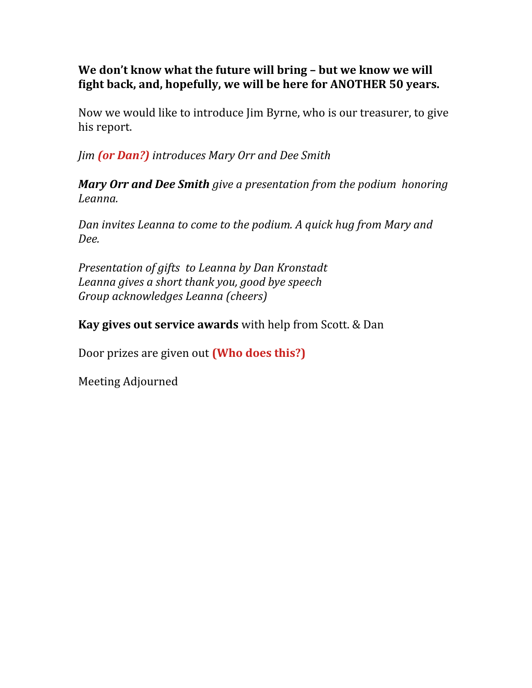## **We don't know what the future will bring – but we know we will fight back, and, hopefully, we will be here for ANOTHER 50 years.**

Now we would like to introduce Jim Byrne, who is our treasurer, to give his report.

*Jim (or Dan?) introduces Mary Orr and Dee Smith*

*Mary Orr and Dee Smith give a presentation from the podium honoring Leanna.* 

*Dan invites Leanna to come to the podium. A quick hug from Mary and Dee.*

*Presentation of gifts to Leanna by Dan Kronstadt Leanna gives a short thank you, good bye speech Group acknowledges Leanna (cheers)*

**Kay gives out service awards** with help from Scott. & Dan

Door prizes are given out **(Who does this?)**

Meeting Adjourned